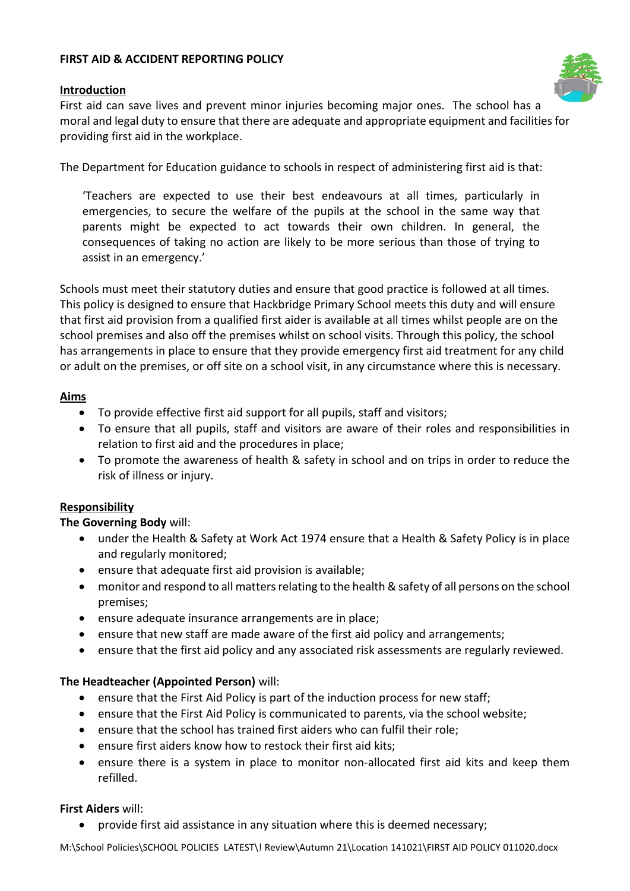### **FIRST AID & ACCIDENT REPORTING POLICY**

#### **Introduction**



First aid can save lives and prevent minor injuries becoming major ones. The school has a moral and legal duty to ensure that there are adequate and appropriate equipment and facilities for providing first aid in the workplace.

The Department for Education guidance to schools in respect of administering first aid is that:

'Teachers are expected to use their best endeavours at all times, particularly in emergencies, to secure the welfare of the pupils at the school in the same way that parents might be expected to act towards their own children. In general, the consequences of taking no action are likely to be more serious than those of trying to assist in an emergency.'

Schools must meet their statutory duties and ensure that good practice is followed at all times. This policy is designed to ensure that Hackbridge Primary School meets this duty and will ensure that first aid provision from a qualified first aider is available at all times whilst people are on the school premises and also off the premises whilst on school visits. Through this policy, the school has arrangements in place to ensure that they provide emergency first aid treatment for any child or adult on the premises, or off site on a school visit, in any circumstance where this is necessary.

#### **Aims**

- To provide effective first aid support for all pupils, staff and visitors;
- To ensure that all pupils, staff and visitors are aware of their roles and responsibilities in relation to first aid and the procedures in place;
- To promote the awareness of health & safety in school and on trips in order to reduce the risk of illness or injury.

#### **Responsibility**

#### **The Governing Body** will:

- under the Health & Safety at Work Act 1974 ensure that a Health & Safety Policy is in place and regularly monitored;
- ensure that adequate first aid provision is available;
- monitor and respond to all matters relating to the health & safety of all persons on the school premises;
- ensure adequate insurance arrangements are in place;
- ensure that new staff are made aware of the first aid policy and arrangements;
- ensure that the first aid policy and any associated risk assessments are regularly reviewed.

## **The Headteacher (Appointed Person)** will:

- ensure that the First Aid Policy is part of the induction process for new staff;
- ensure that the First Aid Policy is communicated to parents, via the school website;
- ensure that the school has trained first aiders who can fulfil their role;
- ensure first aiders know how to restock their first aid kits;
- ensure there is a system in place to monitor non-allocated first aid kits and keep them refilled.

#### **First Aiders** will:

• provide first aid assistance in any situation where this is deemed necessary;

M:\School Policies\SCHOOL POLICIES LATEST\! Review\Autumn 21\Location 141021\FIRST AID POLICY 011020.docx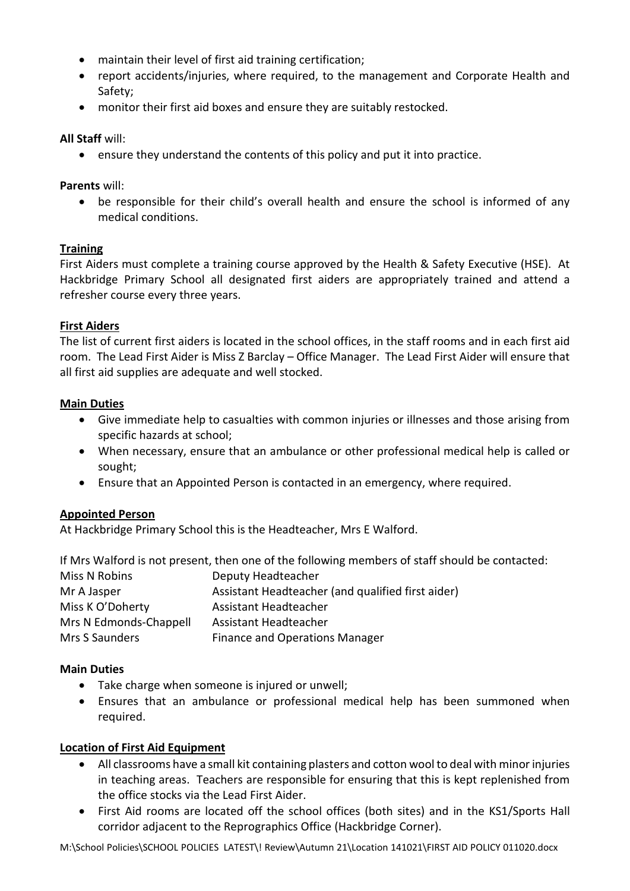- maintain their level of first aid training certification;
- report accidents/injuries, where required, to the management and Corporate Health and Safety;
- monitor their first aid boxes and ensure they are suitably restocked.

### **All Staff** will:

• ensure they understand the contents of this policy and put it into practice.

### **Parents** will:

• be responsible for their child's overall health and ensure the school is informed of any medical conditions.

## **Training**

First Aiders must complete a training course approved by the Health & Safety Executive (HSE). At Hackbridge Primary School all designated first aiders are appropriately trained and attend a refresher course every three years.

#### **First Aiders**

The list of current first aiders is located in the school offices, in the staff rooms and in each first aid room. The Lead First Aider is Miss Z Barclay – Office Manager. The Lead First Aider will ensure that all first aid supplies are adequate and well stocked.

#### **Main Duties**

- Give immediate help to casualties with common injuries or illnesses and those arising from specific hazards at school;
- When necessary, ensure that an ambulance or other professional medical help is called or sought;
- Ensure that an Appointed Person is contacted in an emergency, where required.

## **Appointed Person**

At Hackbridge Primary School this is the Headteacher, Mrs E Walford.

If Mrs Walford is not present, then one of the following members of staff should be contacted:

| Miss N Robins          | Deputy Headteacher                                |
|------------------------|---------------------------------------------------|
| Mr A Jasper            | Assistant Headteacher (and qualified first aider) |
| Miss K O'Doherty       | Assistant Headteacher                             |
| Mrs N Edmonds-Chappell | Assistant Headteacher                             |
| Mrs S Saunders         | <b>Finance and Operations Manager</b>             |

## **Main Duties**

- Take charge when someone is injured or unwell;
- Ensures that an ambulance or professional medical help has been summoned when required.

## **Location of First Aid Equipment**

- All classrooms have a small kit containing plasters and cotton wool to deal with minor injuries in teaching areas. Teachers are responsible for ensuring that this is kept replenished from the office stocks via the Lead First Aider.
- First Aid rooms are located off the school offices (both sites) and in the KS1/Sports Hall corridor adjacent to the Reprographics Office (Hackbridge Corner).

M:\School Policies\SCHOOL POLICIES LATEST\! Review\Autumn 21\Location 141021\FIRST AID POLICY 011020.docx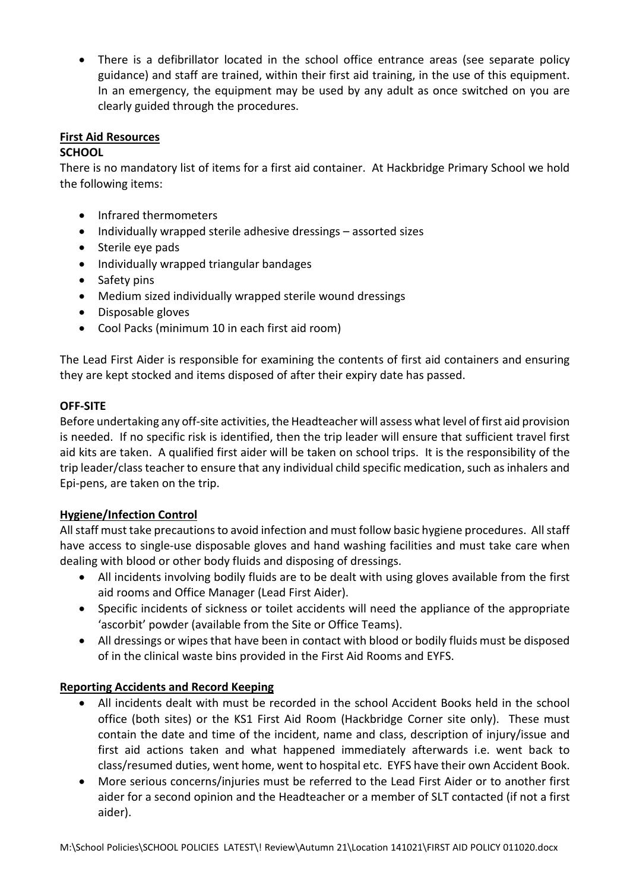• There is a defibrillator located in the school office entrance areas (see separate policy guidance) and staff are trained, within their first aid training, in the use of this equipment. In an emergency, the equipment may be used by any adult as once switched on you are clearly guided through the procedures.

# **First Aid Resources**

# **SCHOOL**

There is no mandatory list of items for a first aid container. At Hackbridge Primary School we hold the following items:

- Infrared thermometers
- Individually wrapped sterile adhesive dressings assorted sizes
- Sterile eye pads
- Individually wrapped triangular bandages
- Safety pins
- Medium sized individually wrapped sterile wound dressings
- Disposable gloves
- Cool Packs (minimum 10 in each first aid room)

The Lead First Aider is responsible for examining the contents of first aid containers and ensuring they are kept stocked and items disposed of after their expiry date has passed.

## **OFF-SITE**

Before undertaking any off-site activities, the Headteacher will assess what level of first aid provision is needed. If no specific risk is identified, then the trip leader will ensure that sufficient travel first aid kits are taken. A qualified first aider will be taken on school trips. It is the responsibility of the trip leader/class teacher to ensure that any individual child specific medication, such as inhalers and Epi-pens, are taken on the trip.

## **Hygiene/Infection Control**

All staff must take precautions to avoid infection and must follow basic hygiene procedures. All staff have access to single-use disposable gloves and hand washing facilities and must take care when dealing with blood or other body fluids and disposing of dressings.

- All incidents involving bodily fluids are to be dealt with using gloves available from the first aid rooms and Office Manager (Lead First Aider).
- Specific incidents of sickness or toilet accidents will need the appliance of the appropriate 'ascorbit' powder (available from the Site or Office Teams).
- All dressings or wipes that have been in contact with blood or bodily fluids must be disposed of in the clinical waste bins provided in the First Aid Rooms and EYFS.

## **Reporting Accidents and Record Keeping**

- All incidents dealt with must be recorded in the school Accident Books held in the school office (both sites) or the KS1 First Aid Room (Hackbridge Corner site only). These must contain the date and time of the incident, name and class, description of injury/issue and first aid actions taken and what happened immediately afterwards i.e. went back to class/resumed duties, went home, went to hospital etc. EYFS have their own Accident Book.
- More serious concerns/injuries must be referred to the Lead First Aider or to another first aider for a second opinion and the Headteacher or a member of SLT contacted (if not a first aider).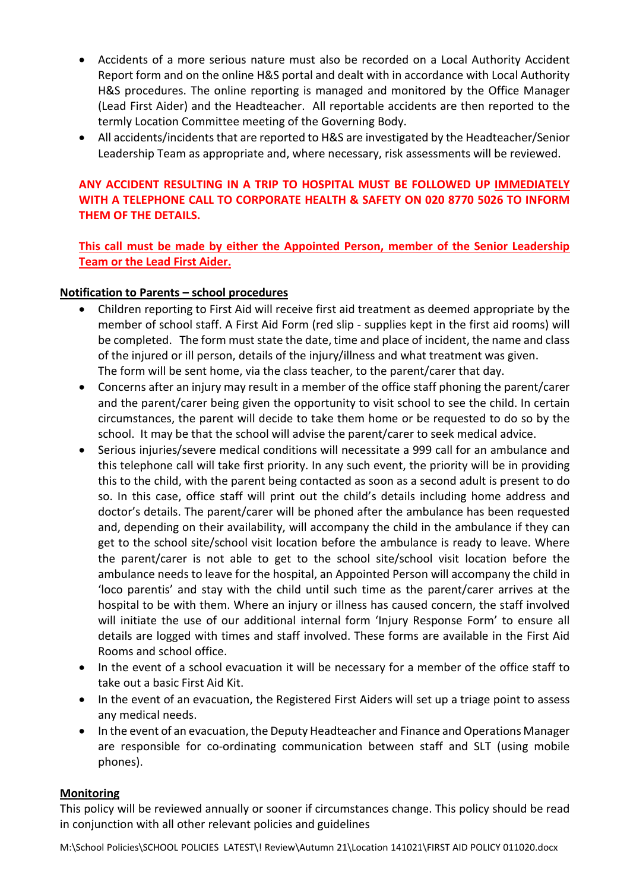- Accidents of a more serious nature must also be recorded on a Local Authority Accident Report form and on the online H&S portal and dealt with in accordance with Local Authority H&S procedures. The online reporting is managed and monitored by the Office Manager (Lead First Aider) and the Headteacher. All reportable accidents are then reported to the termly Location Committee meeting of the Governing Body.
- All accidents/incidents that are reported to H&S are investigated by the Headteacher/Senior Leadership Team as appropriate and, where necessary, risk assessments will be reviewed.

# **ANY ACCIDENT RESULTING IN A TRIP TO HOSPITAL MUST BE FOLLOWED UP IMMEDIATELY WITH A TELEPHONE CALL TO CORPORATE HEALTH & SAFETY ON 020 8770 5026 TO INFORM THEM OF THE DETAILS.**

**This call must be made by either the Appointed Person, member of the Senior Leadership Team or the Lead First Aider.**

#### **Notification to Parents – school procedures**

- Children reporting to First Aid will receive first aid treatment as deemed appropriate by the member of school staff. A First Aid Form (red slip - supplies kept in the first aid rooms) will be completed. The form must state the date, time and place of incident, the name and class of the injured or ill person, details of the injury/illness and what treatment was given. The form will be sent home, via the class teacher, to the parent/carer that day.
- Concerns after an injury may result in a member of the office staff phoning the parent/carer and the parent/carer being given the opportunity to visit school to see the child. In certain circumstances, the parent will decide to take them home or be requested to do so by the school. It may be that the school will advise the parent/carer to seek medical advice.
- Serious injuries/severe medical conditions will necessitate a 999 call for an ambulance and this telephone call will take first priority. In any such event, the priority will be in providing this to the child, with the parent being contacted as soon as a second adult is present to do so. In this case, office staff will print out the child's details including home address and doctor's details. The parent/carer will be phoned after the ambulance has been requested and, depending on their availability, will accompany the child in the ambulance if they can get to the school site/school visit location before the ambulance is ready to leave. Where the parent/carer is not able to get to the school site/school visit location before the ambulance needs to leave for the hospital, an Appointed Person will accompany the child in 'loco parentis' and stay with the child until such time as the parent/carer arrives at the hospital to be with them. Where an injury or illness has caused concern, the staff involved will initiate the use of our additional internal form 'Injury Response Form' to ensure all details are logged with times and staff involved. These forms are available in the First Aid Rooms and school office.
- In the event of a school evacuation it will be necessary for a member of the office staff to take out a basic First Aid Kit.
- In the event of an evacuation, the Registered First Aiders will set up a triage point to assess any medical needs.
- In the event of an evacuation, the Deputy Headteacher and Finance and Operations Manager are responsible for co-ordinating communication between staff and SLT (using mobile phones).

#### **Monitoring**

This policy will be reviewed annually or sooner if circumstances change. This policy should be read in conjunction with all other relevant policies and guidelines

M:\School Policies\SCHOOL POLICIES LATEST\! Review\Autumn 21\Location 141021\FIRST AID POLICY 011020.docx